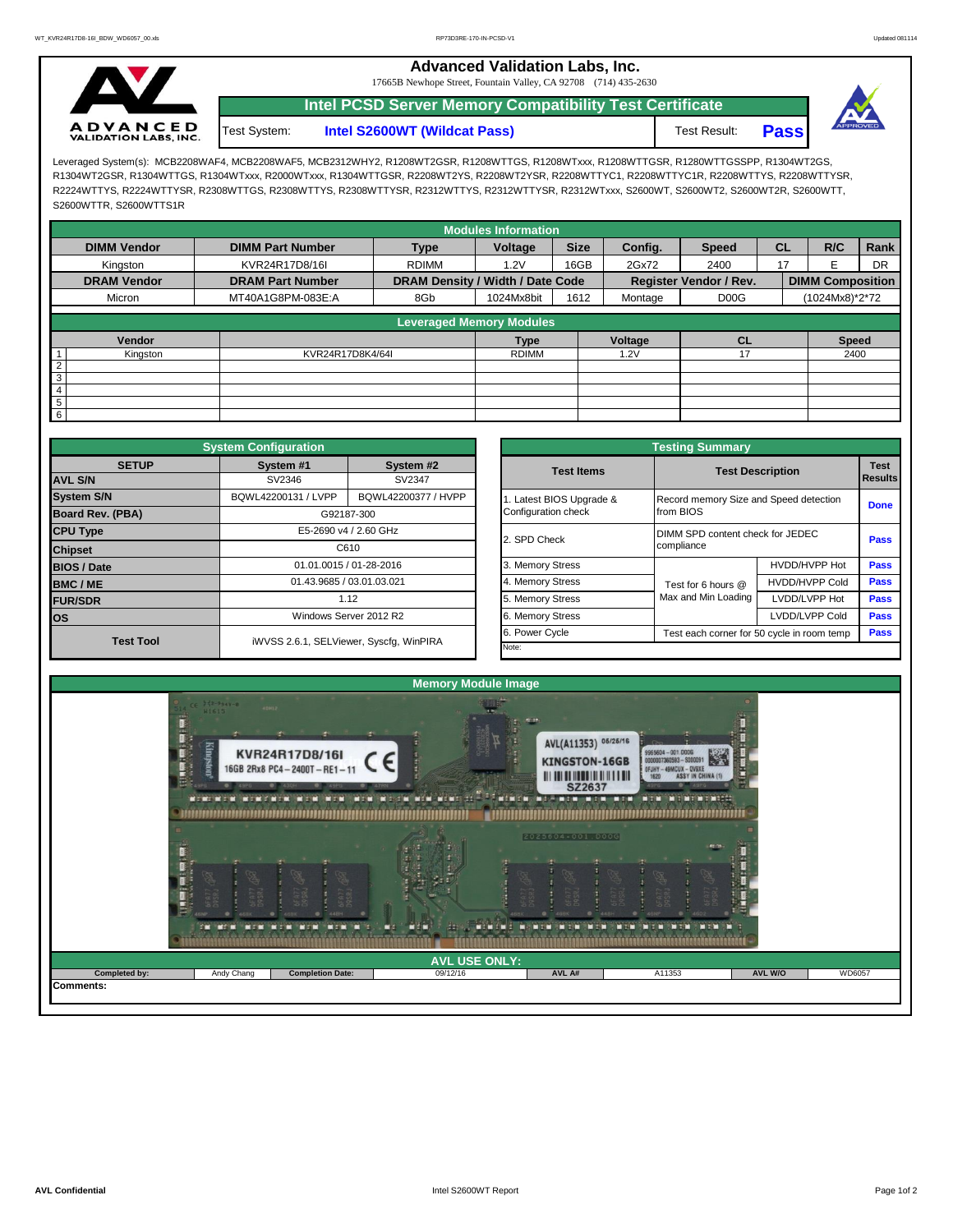**Advanced Validation Labs, Inc.** 

17665B Newhope Street, Fountain Valley, CA 92708 (714) 435-2630



**Intel S2600WT (Wildcat Pass)** Test Result: **Pass Intel PCSD Server Memory Compatibility Test Certificate** Test System:



Leveraged System(s): MCB2208WAF4, MCB2208WAF5, MCB2312WHY2, R1208WT2GSR, R1208WTTGS, R1208WTxxx, R1208WTTGSR, R1280WTTGSSPP, R1304WT2GS, R1304WT2GSR, R1304WTTGS, R1304WTxxx, R2000WTxxx, R1304WTTGSR, R2208WT2YS, R2208WT2YSR, R2208WTTYC1, R2208WTTYC1R, R2208WTTYS, R2208WTTYSR, R2224WTTYS, R2224WTTYSR, R2308WTTGS, R2308WTTYS, R2308WTTYSR, R2312WTTYS, R2312WTTYSR, R2312WTxxx, S2600WT, S2600WT2, S2600WT2R, S2600WTT, S2600WTTR, S2600WTTS1R

|                    |                         |                                  | <b>Modules Information</b> |             |                                          |                        |           |                         |                |  |
|--------------------|-------------------------|----------------------------------|----------------------------|-------------|------------------------------------------|------------------------|-----------|-------------------------|----------------|--|
| <b>DIMM Vendor</b> | <b>DIMM Part Number</b> | <b>Type</b>                      | Voltage                    | <b>Size</b> | Config.                                  | <b>Speed</b>           | <b>CL</b> | R/C                     | Rank           |  |
| Kingston           | KVR24R17D8/16I          | <b>RDIMM</b>                     | 1.2V                       | 16GB        | 2Gx72                                    | 2400                   | 17        |                         | <b>DR</b>      |  |
| <b>DRAM Vendor</b> | <b>DRAM Part Number</b> | DRAM Density / Width / Date Code |                            |             |                                          | Register Vendor / Rev. |           | <b>DIMM Composition</b> |                |  |
| Micron             | MT40A1G8PM-083E:A       | 8Gb<br>1024Mx8bit                |                            | 1612        | D <sub>0</sub> O <sub>G</sub><br>Montage |                        |           |                         | (1024Mx8)*2*72 |  |
|                    |                         | <b>Leveraged Memory Modules</b>  |                            |             |                                          |                        |           |                         |                |  |
|                    |                         |                                  |                            |             |                                          |                        |           |                         |                |  |
| Vendor             |                         |                                  | <b>Type</b>                |             | Voltage                                  | <b>CL</b>              |           | <b>Speed</b>            |                |  |
| Kingston           | KVR24R17D8K4/64I        |                                  | <b>RDIMM</b>               |             | .2V                                      | 17                     | 2400      |                         |                |  |
| 2                  |                         |                                  |                            |             |                                          |                        |           |                         |                |  |
| ω                  |                         |                                  |                            |             |                                          |                        |           |                         |                |  |
| $\overline{4}$     |                         |                                  |                            |             |                                          |                        |           |                         |                |  |
| $\overline{5}$     |                         |                                  |                            |             |                                          |                        |           |                         |                |  |
| $6 \overline{6}$   |                         |                                  |                            |             |                                          |                        |           |                         |                |  |

|                                | <b>System Configuration</b> |                                         |                                                              | <b>Testing Summary</b>  |                                        |                                  |             |  |  |  |  |  |
|--------------------------------|-----------------------------|-----------------------------------------|--------------------------------------------------------------|-------------------------|----------------------------------------|----------------------------------|-------------|--|--|--|--|--|
| <b>SETUP</b><br><b>AVL S/N</b> | System #1<br>SV2346         | System #2<br>SV2347                     | <b>Test Items</b>                                            |                         | <b>Test Description</b>                | <b>Test</b><br>Results           |             |  |  |  |  |  |
| <b>System S/N</b>              | BQWL42200131 / LVPP         | BQWL42200377 / HVPP                     |                                                              | . Latest BIOS Upgrade & | Record memory Size and Speed detection |                                  |             |  |  |  |  |  |
| Board Rev. (PBA)               |                             | G92187-300                              |                                                              | Configuration check     | from BIOS                              |                                  |             |  |  |  |  |  |
| <b>CPU Type</b>                |                             | E5-2690 v4 / 2.60 GHz                   |                                                              | 2. SPD Check            |                                        | DIMM SPD content check for JEDEC |             |  |  |  |  |  |
| <b>Chipset</b>                 |                             | C610                                    |                                                              |                         | compliance                             | <b>Pass</b>                      |             |  |  |  |  |  |
| <b>BIOS / Date</b>             |                             | 01.01.0015 / 01-28-2016                 |                                                              | 3. Memory Stress        |                                        | HVDD/HVPP Hot                    | <b>Pass</b> |  |  |  |  |  |
| <b>BMC/ME</b>                  |                             | 01.43.9685 / 03.01.03.021               |                                                              | 4. Memory Stress        | Test for 6 hours @                     | <b>HVDD/HVPP Cold</b>            | <b>Pass</b> |  |  |  |  |  |
| <b>FUR/SDR</b>                 |                             | 1.12                                    |                                                              | 5. Memory Stress        | Max and Min Loading                    | LVDD/LVPP Hot                    | <b>Pass</b> |  |  |  |  |  |
| los                            |                             | Windows Server 2012 R2                  |                                                              | 6. Memory Stress        |                                        | <b>Pass</b>                      |             |  |  |  |  |  |
| <b>Test Tool</b>               |                             | iWVSS 2.6.1, SELViewer, Syscfg, WinPIRA | 6. Power Cycle<br>Test each corner for 50 cycle in room temp |                         |                                        |                                  |             |  |  |  |  |  |
|                                |                             |                                         |                                                              | Note:                   |                                        |                                  |             |  |  |  |  |  |

|              | <b>System Configuration</b> |                                         | <b>Testing Summary</b>                                       |                                        |                                |             |  |  |  |  |  |  |
|--------------|-----------------------------|-----------------------------------------|--------------------------------------------------------------|----------------------------------------|--------------------------------|-------------|--|--|--|--|--|--|
| <b>SETUP</b> | System #1                   | System #2                               | <b>Test Items</b>                                            | <b>Test Description</b>                | <b>Test</b><br><b>Results</b>  |             |  |  |  |  |  |  |
|              | SV2346                      | SV2347                                  |                                                              |                                        |                                |             |  |  |  |  |  |  |
|              | BQWL42200131 / LVPP         | BQWL42200377 / HVPP                     | Latest BIOS Upgrade &                                        | Record memory Size and Speed detection |                                | <b>Done</b> |  |  |  |  |  |  |
| PBA)         |                             | G92187-300                              | Configuration check                                          | from BIOS                              |                                |             |  |  |  |  |  |  |
|              |                             | E5-2690 v4 / 2.60 GHz                   | 2. SPD Check                                                 | DIMM SPD content check for JEDEC       |                                |             |  |  |  |  |  |  |
|              |                             | C610                                    |                                                              | compliance                             | Pass                           |             |  |  |  |  |  |  |
|              |                             | 01.01.0015 / 01-28-2016                 |                                                              |                                        | HVDD/HVPP Hot                  | Pass        |  |  |  |  |  |  |
|              |                             | 01.43.9685 / 03.01.03.021               | 4. Memory Stress                                             | Test for 6 hours @                     | <b>HVDD/HVPP Cold</b>          | Pass        |  |  |  |  |  |  |
|              |                             | 1.12                                    | 5. Memory Stress                                             | Max and Min Loading                    | LVDD/LVPP Hot                  | Pass        |  |  |  |  |  |  |
|              |                             | Windows Server 2012 R2                  | 6. Memory Stress                                             |                                        | LVDD/LVPP Cold<br>Pass<br>Pass |             |  |  |  |  |  |  |
|              |                             |                                         | 6. Power Cycle<br>Test each corner for 50 cycle in room temp |                                        |                                |             |  |  |  |  |  |  |
| est Tool     |                             | iWVSS 2.6.1, SELViewer, Syscfg, WinPIRA | Note:                                                        |                                        |                                |             |  |  |  |  |  |  |